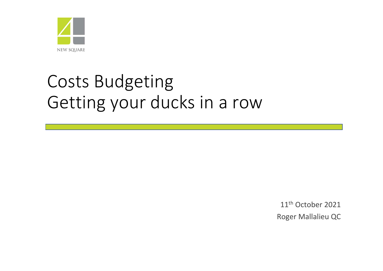

# Costs Budgeting Getting your ducks in a row

11th October 2021Roger Mallalieu QC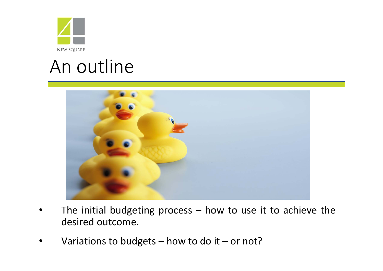

#### An outline



- • The initial budgeting process – how to use it to achieve the desired outcome.
- •Variations to budgets  $-$  how to do it  $-$  or not?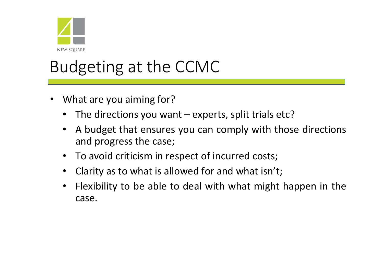

- • What are you aiming for?
	- $\bullet$ The directions you want  $-$  experts, split trials etc?
	- $\bullet$  A budget that ensures you can comply with those directions and progress the case;
	- To avoid criticism in respect of incurred costs;
	- $\bullet$ Clarity as to what is allowed for and what isn't;
	- $\bullet$  Flexibility to be able to deal with what might happen in the case.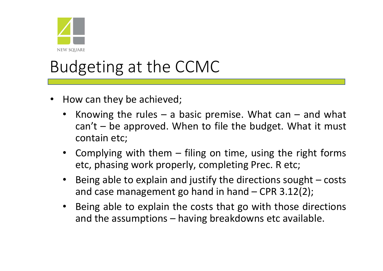

- • How can they be achieved;
	- $\bullet$ Knowing the rules  $-$  a basic premise. What can  $-$  and what  $can't - be approved. When to file the budget. What it must$ contain etc;
	- $\bullet$  Complying with them – filing on time, using the right forms etc, phasing work properly, completing Prec. R etc;
	- $\bullet$  Being able to explain and justify the directions sought – costs and case management go hand in hand  $-$  CPR 3.12(2);
	- $\bullet$  Being able to explain the costs that go with those directions and the assumptions – having breakdowns etc available.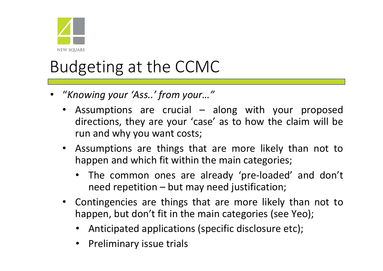

- •"*Knowing your 'Ass..' from your…"*
	- $\bullet$  Assumptions are crucial – along with your proposed directions, they are your 'case' as to how the claim will be run and why you want costs;
	- $\bullet$  Assumptions are things that are more likely than not to happen and which fit within the main categories;
		- • The common ones are already 'pre‐loaded' and don't need repetition – but may need justification;
	- Contingencies are things that are more likely than not to happen, but don't fit in the main categories (see Yeo);
		- Anticipated applications (specific disclosure etc);
		- •Preliminary issue trials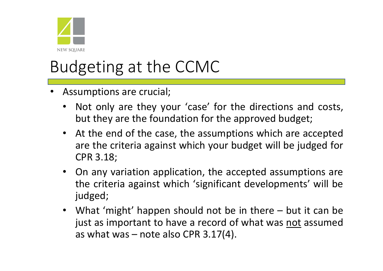

- • Assumptions are crucial;
	- $\bullet$  Not only are they your 'case' for the directions and costs, but they are the foundation for the approved budget;
	- $\bullet$  At the end of the case, the assumptions which are accepted are the criteria against which your budget will be judged for CPR 3.18;
	- On any variation application, the accepted assumptions are the criteria against which 'significant developments' will be judged;
	- What 'might' happen should not be in there but it can be just as important to have <sup>a</sup> record of what was not assumed as what was – note also CPR 3.17(4).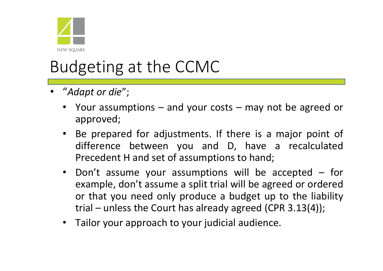

- •"*Adapt or die*";
	- Your assumptions and your costs may not be agreed or approved;
	- $\bullet$  Be prepared for adjustments. If there is <sup>a</sup> major point of difference between you and D, have <sup>a</sup> recalculated Precedent H and set of assumptions to hand;
	- Don't assume your assumptions will be accepted for example, don't assume <sup>a</sup> split trial will be agreed or ordered or that you need only produce <sup>a</sup> budget up to the liability trial – unless the Court has already agreed (CPR 3.13(4));
	- Tailor your approach to your judicial audience.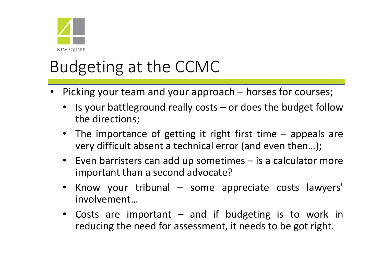

- • Picking your team and your approach – horses for courses;
	- Is your battleground really costs or does the budget follow the directions;
	- The importance of getting it right first time appeals are very difficult absent <sup>a</sup> technical error (and even then…);
	- Even barristers can add up sometimes is <sup>a</sup> calculator more important than <sup>a</sup> second advocate?
	- $\bullet$  Know your tribunal – some appreciate costs lawyers' involvement…
	- Costs are important and if budgeting is to work in reducing the need for assessment, it needs to be got right.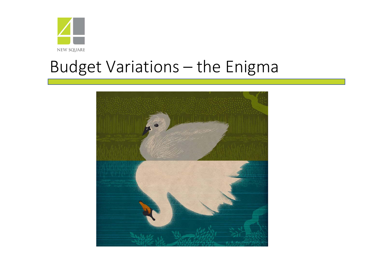

#### Budget Variations – the Enigma

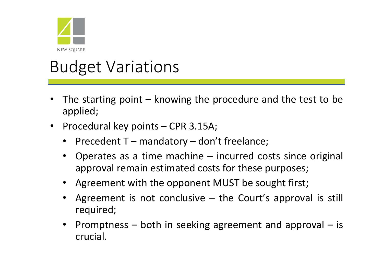

- • The starting point – knowing the procedure and the test to be applied;
- • Procedural key points – CPR 3.15A;
	- $\bullet$ Precedent T – mandatory – don't freelance;
	- $\bullet$  Operates as <sup>a</sup> time machine – incurred costs since original approval remain estimated costs for these purposes;
	- $\bullet$ Agreement with the opponent MUST be sought first;
	- • Agreement is not conclusive – the Court's approval is still required;
	- $\bullet$  Promptness – both in seeking agreement and approval – is crucial.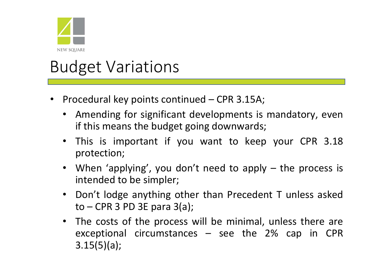

- • Procedural key points continued – CPR 3.15A;
	- $\bullet$  Amending for significant developments is mandatory, even if this means the budget going downwards;
	- $\bullet$  This is important if you want to keep your CPR 3.18 protection;
	- When 'applying', you don't need to apply the process is intended to be simpler;
	- $\bullet$  Don't lodge anything other than Precedent T unless asked  $to$  – CPR 3 PD 3E para 3(a);
	- The costs of the process will be minimal, unless there are exceptional circumstances  $-$  see the 2% cap in CPR  $3.15(5)(a);$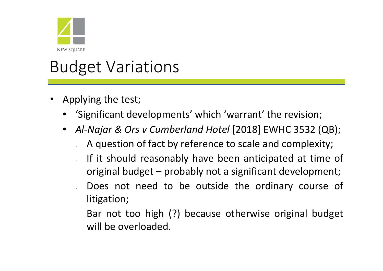

- • Applying the test;
	- •'Significant developments' which 'warrant' the revision;
	- $\bullet$  *Al‐Najar & Ors <sup>v</sup> Cumberland Hotel* [2018] EWHC 3532 (QB);
		- A question of fact by reference to scale and complexity;
		- If it should reasonably have been anticipated at time of original budget – probably not <sup>a</sup> significant development;
		- Does not need to be outside the ordinary course of litigation;
		- • Bar not too high (?) because otherwise original budget will be overloaded.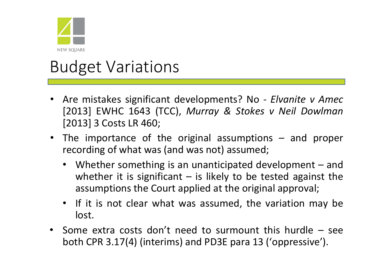

- • Are mistakes significant developments? No ‐ *Elvanite <sup>v</sup> Amec* [2013] EWHC 1643 (TCC), *Murray & Stokes <sup>v</sup> Neil Dowlman* [2013] 3 Costs LR 460;
- • The importance of the original assumptions – and proper recording of what was (and was not) assumed;
	- Whether something is an unanticipated development and whether it is significant  $-$  is likely to be tested against the assumptions the Court applied at the original approval;
	- If it is not clear what was assumed, the variation may be lost.
- Some extra costs don't need to surmount this hurdle see both CPR 3.17(4) (interims) and PD3E para 13 ('oppressive').